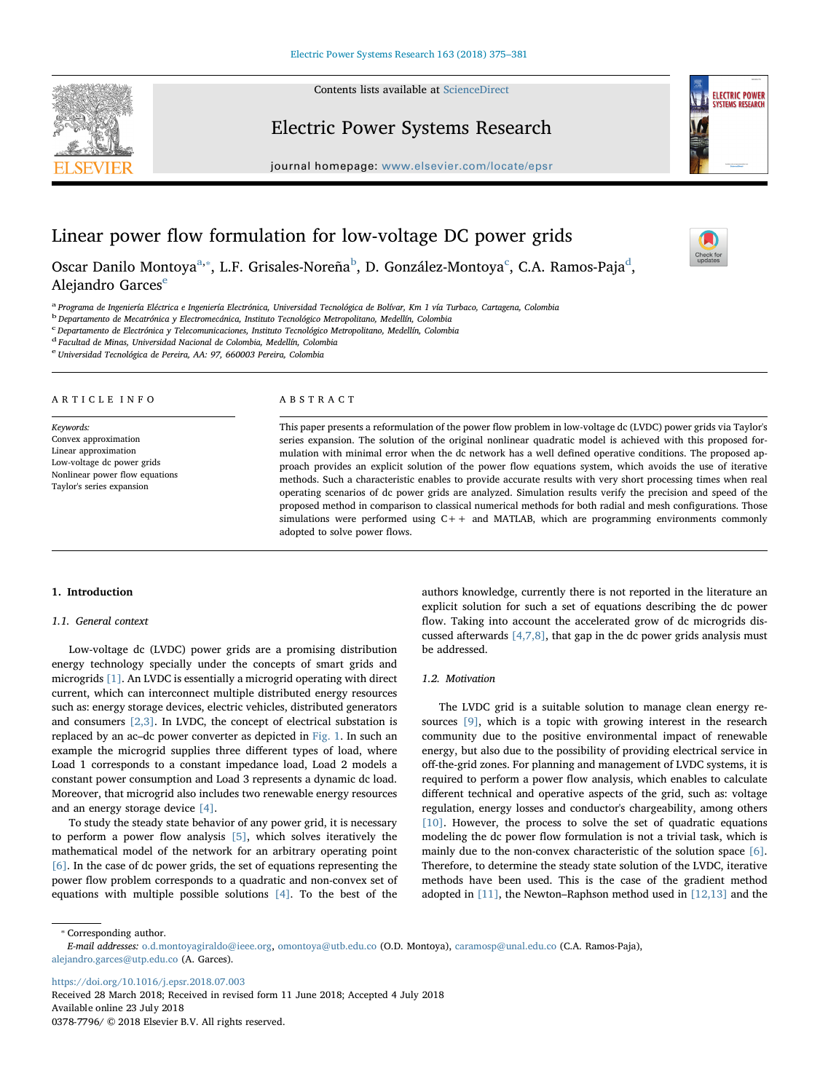Contents lists available at [ScienceDirect](http://www.sciencedirect.com/science/journal/03787796)



## Electric Power Systems Research

journal homepage: [www.elsevier.com/locate/epsr](https://www.elsevier.com/locate/epsr)



Check for<br>[T](http://crossmark.crossref.org/dialog/?doi=10.1016/j.epsr.2018.07.003&domain=pdf)indates

# Linear power flow formulation for low-voltage DC power grids

Osc[a](#page-0-0)r Danilo Montoya<sup>a,</sup>\*, L.F. Grisales-Noreña<sup>[b](#page-0-2)</sup>, D. González-Montoya<sup>[c](#page-0-3)</sup>, C.A. Ramos-Paja<sup>[d](#page-0-4)</sup>, Al[e](#page-0-5)jandro Garces<sup>e</sup>

<span id="page-0-0"></span><sup>a</sup> Programa de Ingeniería Eléctrica e Ingeniería Electrónica, Universidad Tecnológica de Bolívar, Km 1 vía Turbaco, Cartagena, Colombia

<span id="page-0-2"></span><sup>b</sup> Departamento de Mecatrónica y Electromecánica, Instituto Tecnológico Metropolitano, Medellín, Colombia

<span id="page-0-3"></span>c<br>C Departamento de Electrónica y Telecomunicaciones, Instituto Tecnológico Metropolitano, Medellín, Colombia

<span id="page-0-4"></span><sup>d</sup> Facultad de Minas, Universidad Nacional de Colombia, Medellín, Colombia

<span id="page-0-5"></span><sup>e</sup> Universidad Tecnológica de Pereira, AA: 97, 660003 Pereira, Colombia

#### ARTICLE INFO

Keywords: Convex approximation Linear approximation Low-voltage dc power grids Nonlinear power flow equations Taylor's series expansion

## ABSTRACT

This paper presents a reformulation of the power flow problem in low-voltage dc (LVDC) power grids via Taylor's series expansion. The solution of the original nonlinear quadratic model is achieved with this proposed formulation with minimal error when the dc network has a well defined operative conditions. The proposed approach provides an explicit solution of the power flow equations system, which avoids the use of iterative methods. Such a characteristic enables to provide accurate results with very short processing times when real operating scenarios of dc power grids are analyzed. Simulation results verify the precision and speed of the proposed method in comparison to classical numerical methods for both radial and mesh configurations. Those simulations were performed using C++ and MATLAB, which are programming environments commonly adopted to solve power flows.

#### 1. Introduction

## 1.1. General context

Low-voltage dc (LVDC) power grids are a promising distribution energy technology specially under the concepts of smart grids and microgrids [\[1\]](#page-6-0). An LVDC is essentially a microgrid operating with direct current, which can interconnect multiple distributed energy resources such as: energy storage devices, electric vehicles, distributed generators and consumers  $[2,3]$ . In LVDC, the concept of electrical substation is replaced by an ac–dc power converter as depicted in [Fig. 1](#page-1-0). In such an example the microgrid supplies three different types of load, where Load 1 corresponds to a constant impedance load, Load 2 models a constant power consumption and Load 3 represents a dynamic dc load. Moreover, that microgrid also includes two renewable energy resources and an energy storage device [\[4\].](#page-6-2)

To study the steady state behavior of any power grid, it is necessary to perform a power flow analysis [\[5\]](#page-6-3), which solves iteratively the mathematical model of the network for an arbitrary operating point [\[6\].](#page-6-4) In the case of dc power grids, the set of equations representing the power flow problem corresponds to a quadratic and non-convex set of equations with multiple possible solutions [\[4\].](#page-6-2) To the best of the authors knowledge, currently there is not reported in the literature an explicit solution for such a set of equations describing the dc power flow. Taking into account the accelerated grow of dc microgrids discussed afterwards [\[4,7,8\]](#page-6-2), that gap in the dc power grids analysis must be addressed.

## 1.2. Motivation

The LVDC grid is a suitable solution to manage clean energy resources [\[9\],](#page-6-5) which is a topic with growing interest in the research community due to the positive environmental impact of renewable energy, but also due to the possibility of providing electrical service in off-the-grid zones. For planning and management of LVDC systems, it is required to perform a power flow analysis, which enables to calculate different technical and operative aspects of the grid, such as: voltage regulation, energy losses and conductor's chargeability, among others [\[10\]](#page-6-6). However, the process to solve the set of quadratic equations modeling the dc power flow formulation is not a trivial task, which is mainly due to the non-convex characteristic of the solution space [\[6\]](#page-6-4). Therefore, to determine the steady state solution of the LVDC, iterative methods have been used. This is the case of the gradient method adopted in [\[11\]](#page-6-7), the Newton–Raphson method used in [\[12,13\]](#page-6-8) and the

<span id="page-0-1"></span>⁎ Corresponding author.

<https://doi.org/10.1016/j.epsr.2018.07.003>

Received 28 March 2018; Received in revised form 11 June 2018; Accepted 4 July 2018 Available online 23 July 2018 0378-7796/ © 2018 Elsevier B.V. All rights reserved.

E-mail addresses: [o.d.montoyagiraldo@ieee.org,](mailto:o.d.montoyagiraldo@ieee.org) [omontoya@utb.edu.co](mailto:omontoya@utb.edu.co) (O.D. Montoya), [caramosp@unal.edu.co](mailto:caramosp@unal.edu.co) (C.A. Ramos-Paja), [alejandro.garces@utp.edu.co](mailto:alejandro.garces@utp.edu.co) (A. Garces).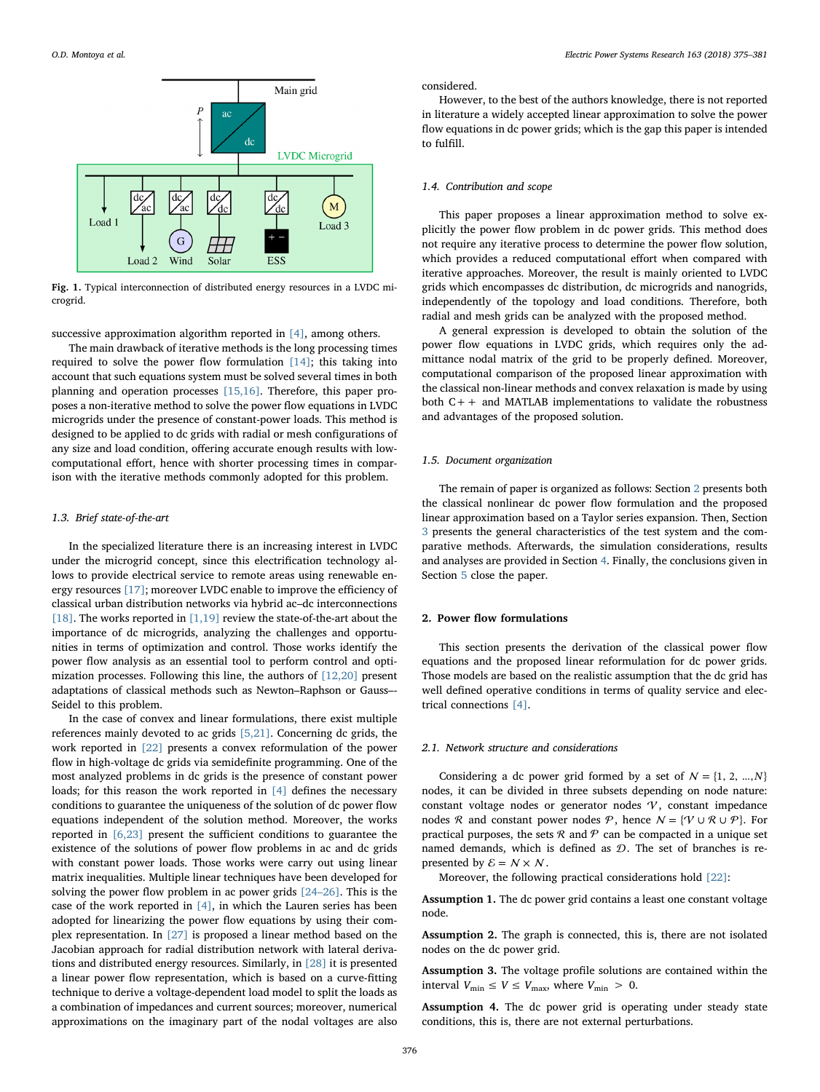<span id="page-1-0"></span>

Fig. 1. Typical interconnection of distributed energy resources in a LVDC microgrid.

successive approximation algorithm reported in [\[4\]](#page-6-2), among others.

The main drawback of iterative methods is the long processing times required to solve the power flow formulation [\[14\];](#page-6-9) this taking into account that such equations system must be solved several times in both planning and operation processes [\[15,16\]](#page-6-10). Therefore, this paper proposes a non-iterative method to solve the power flow equations in LVDC microgrids under the presence of constant-power loads. This method is designed to be applied to dc grids with radial or mesh configurations of any size and load condition, offering accurate enough results with lowcomputational effort, hence with shorter processing times in comparison with the iterative methods commonly adopted for this problem.

## 1.3. Brief state-of-the-art

In the specialized literature there is an increasing interest in LVDC under the microgrid concept, since this electrification technology allows to provide electrical service to remote areas using renewable energy resources [\[17\];](#page-6-11) moreover LVDC enable to improve the efficiency of classical urban distribution networks via hybrid ac–dc interconnections [\[18\]](#page-6-12). The works reported in  $[1,19]$  review the state-of-the-art about the importance of dc microgrids, analyzing the challenges and opportunities in terms of optimization and control. Those works identify the power flow analysis as an essential tool to perform control and optimization processes. Following this line, the authors of [\[12,20\]](#page-6-8) present adaptations of classical methods such as Newton–Raphson or Gauss–- Seidel to this problem.

In the case of convex and linear formulations, there exist multiple references mainly devoted to ac grids [\[5,21\]](#page-6-3). Concerning dc grids, the work reported in [\[22\]](#page-6-13) presents a convex reformulation of the power flow in high-voltage dc grids via semidefinite programming. One of the most analyzed problems in dc grids is the presence of constant power loads; for this reason the work reported in [\[4\]](#page-6-2) defines the necessary conditions to guarantee the uniqueness of the solution of dc power flow equations independent of the solution method. Moreover, the works reported in [\[6,23\]](#page-6-4) present the sufficient conditions to guarantee the existence of the solutions of power flow problems in ac and dc grids with constant power loads. Those works were carry out using linear matrix inequalities. Multiple linear techniques have been developed for solving the power flow problem in ac power grids [24–[26\]](#page-6-14). This is the case of the work reported in [\[4\]](#page-6-2), in which the Lauren series has been adopted for linearizing the power flow equations by using their complex representation. In [\[27\]](#page-6-15) is proposed a linear method based on the Jacobian approach for radial distribution network with lateral derivations and distributed energy resources. Similarly, in [\[28\]](#page-6-16) it is presented a linear power flow representation, which is based on a curve-fitting technique to derive a voltage-dependent load model to split the loads as a combination of impedances and current sources; moreover, numerical approximations on the imaginary part of the nodal voltages are also

#### considered.

However, to the best of the authors knowledge, there is not reported in literature a widely accepted linear approximation to solve the power flow equations in dc power grids; which is the gap this paper is intended to fulfill.

## 1.4. Contribution and scope

This paper proposes a linear approximation method to solve explicitly the power flow problem in dc power grids. This method does not require any iterative process to determine the power flow solution, which provides a reduced computational effort when compared with iterative approaches. Moreover, the result is mainly oriented to LVDC grids which encompasses dc distribution, dc microgrids and nanogrids, independently of the topology and load conditions. Therefore, both radial and mesh grids can be analyzed with the proposed method.

A general expression is developed to obtain the solution of the power flow equations in LVDC grids, which requires only the admittance nodal matrix of the grid to be properly defined. Moreover, computational comparison of the proposed linear approximation with the classical non-linear methods and convex relaxation is made by using both  $C++$  and MATLAB implementations to validate the robustness and advantages of the proposed solution.

## 1.5. Document organization

The remain of paper is organized as follows: Section [2](#page-1-1) presents both the classical nonlinear dc power flow formulation and the proposed linear approximation based on a Taylor series expansion. Then, Section [3](#page-3-0) presents the general characteristics of the test system and the comparative methods. Afterwards, the simulation considerations, results and analyses are provided in Section [4.](#page-4-0) Finally, the conclusions given in Section [5](#page-5-0) close the paper.

## <span id="page-1-1"></span>2. Power flow formulations

This section presents the derivation of the classical power flow equations and the proposed linear reformulation for dc power grids. Those models are based on the realistic assumption that the dc grid has well defined operative conditions in terms of quality service and electrical connections [\[4\]](#page-6-2).

#### 2.1. Network structure and considerations

Considering a dc power grid formed by a set of  $N = \{1, 2, ..., N\}$ nodes, it can be divided in three subsets depending on node nature: constant voltage nodes or generator nodes  $\nu$ , constant impedance nodes R and constant power nodes P, hence  $N = \{V \cup R \cup P\}$ . For practical purposes, the sets  $R$  and  $P$  can be compacted in a unique set named demands, which is defined as  $D$ . The set of branches is represented by  $\mathcal{E} = \mathcal{N} \times \mathcal{N}$ .

Moreover, the following practical considerations hold [\[22\]:](#page-6-13)

Assumption 1. The dc power grid contains a least one constant voltage node.

Assumption 2. The graph is connected, this is, there are not isolated nodes on the dc power grid.

Assumption 3. The voltage profile solutions are contained within the interval  $V_{\text{min}} \le V \le V_{\text{max}}$ , where  $V_{\text{min}} > 0$ .

Assumption 4. The dc power grid is operating under steady state conditions, this is, there are not external perturbations.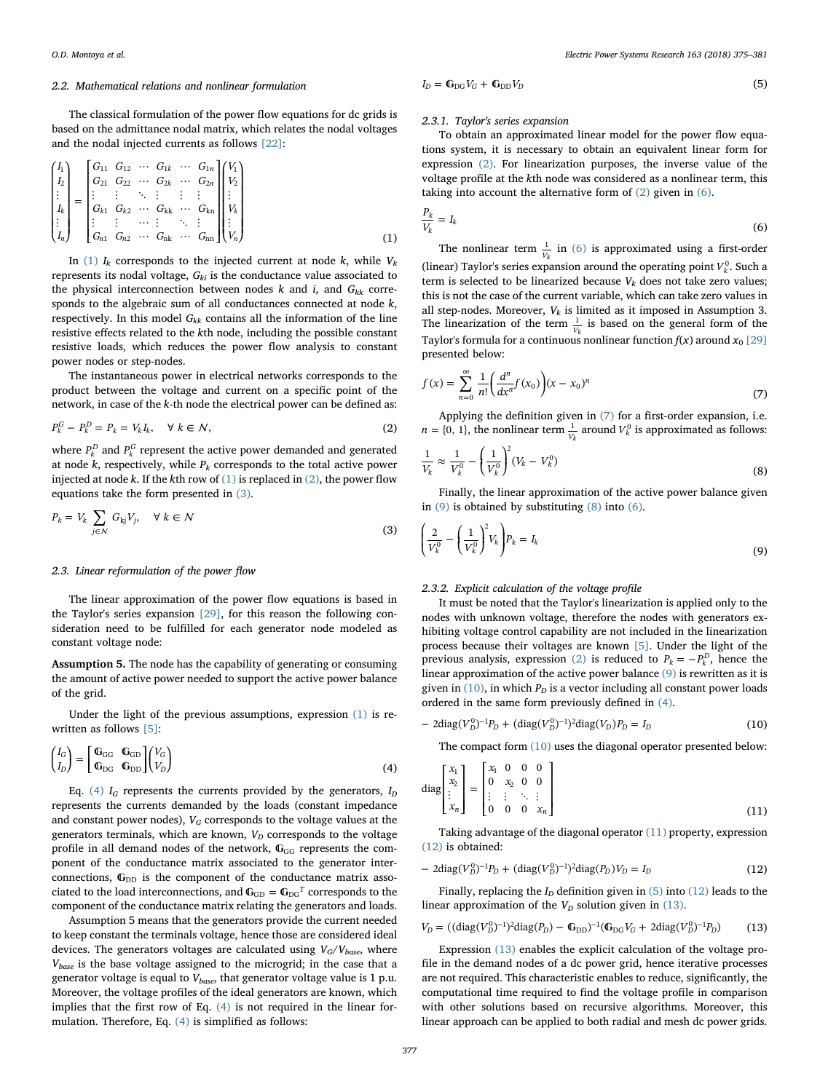#### 2.2. Mathematical relations and nonlinear formulation

<span id="page-2-0"></span>The classical formulation of the power flow equations for dc grids is based on the admittance nodal matrix, which relates the nodal voltages and the nodal injected currents as follows [\[22\]](#page-6-13):

$$
\begin{pmatrix}\nI_1 \\
I_2 \\
I_3 \\
\vdots \\
I_k \\
I_n\n\end{pmatrix} =\n\begin{pmatrix}\nG_{11} & G_{12} & \cdots & G_{1k} & \cdots & G_{1n} \\
G_{21} & G_{22} & \cdots & G_{2k} & \cdots & G_{2n} \\
\vdots & \vdots & \ddots & \vdots & \vdots & \vdots \\
G_{k1} & G_{k2} & \cdots & G_{kk} & \cdots & G_{kn} \\
\vdots & \vdots & \cdots & \vdots & \ddots & \vdots \\
G_{n1} & G_{n2} & \cdots & G_{nk} & \cdots & G_{nn}\n\end{pmatrix}\n\begin{pmatrix}\nV_1 \\
V_2 \\
\vdots \\
V_k \\
\vdots \\
V_n\n\end{pmatrix}
$$
\n(1)

In [\(1\)](#page-2-0)  $I_k$  corresponds to the injected current at node  $k$ , while  $V_k$ represents its nodal voltage,  $G_{ki}$  is the conductance value associated to the physical interconnection between nodes k and i, and  $G_{kk}$  corresponds to the algebraic sum of all conductances connected at node  $k$ , respectively. In this model  $G_{kk}$  contains all the information of the line resistive effects related to the kth node, including the possible constant resistive loads, which reduces the power flow analysis to constant power nodes or step-nodes.

<span id="page-2-1"></span>The instantaneous power in electrical networks corresponds to the product between the voltage and current on a specific point of the network, in case of the k-th node the electrical power can be defined as:

$$
P_k^G - P_k^D = P_k = V_k I_k, \quad \forall \ k \in \mathcal{N},
$$
\n
$$
(2)
$$

where  $P_k^D$  and  $P_k^G$  represent the active power demanded and generated at node  $k$ , respectively, while  $P_k$  corresponds to the total active power injected at node k. If the kth row of  $(1)$  is replaced in  $(2)$ , the power flow equations take the form presented in [\(3\)](#page-2-2).

<span id="page-2-2"></span>
$$
P_k = V_k \sum_{j \in \mathcal{N}} G_{kj} V_j, \quad \forall \ k \in \mathcal{N}
$$
\n(3)

## 2.3. Linear reformulation of the power flow

The linear approximation of the power flow equations is based in the Taylor's series expansion [\[29\],](#page-6-17) for this reason the following consideration need to be fulfilled for each generator node modeled as constant voltage node:

Assumption 5. The node has the capability of generating or consuming the amount of active power needed to support the active power balance of the grid.

<span id="page-2-3"></span>Under the light of the previous assumptions, expression [\(1\)](#page-2-0) is rewritten as follows [\[5\]](#page-6-3):

$$
\begin{pmatrix} I_G \\ I_D \end{pmatrix} = \begin{bmatrix} \mathbb{G}_{GG} & \mathbb{G}_{GD} \\ \mathbb{G}_{DG} & \mathbb{G}_{DD} \end{bmatrix} \begin{pmatrix} V_G \\ V_D \end{pmatrix}
$$
\n(4)

Eq. [\(4\)](#page-2-3)  $I_G$  represents the currents provided by the generators,  $I_D$ represents the currents demanded by the loads (constant impedance and constant power nodes),  $V_G$  corresponds to the voltage values at the generators terminals, which are known,  $V_D$  corresponds to the voltage profile in all demand nodes of the network,  $\mathbb{G}_{GG}$  represents the component of the conductance matrix associated to the generator interconnections,  $\mathbb{G}_{DD}$  is the component of the conductance matrix associated to the load interconnections, and  $\mathbb{G}_{\text{GD}}=\mathbb{G}_{\text{DG}}{}^T$  corresponds to the component of the conductance matrix relating the generators and loads.

<span id="page-2-11"></span>Assumption 5 means that the generators provide the current needed to keep constant the terminals voltage, hence those are considered ideal devices. The generators voltages are calculated using  $V_G/V_{base}$ , where  $V_{base}$  is the base voltage assigned to the microgrid; in the case that a generator voltage is equal to  $V_{base}$ , that generator voltage value is 1 p.u. Moreover, the voltage profiles of the ideal generators are known, which implies that the first row of Eq. [\(4\)](#page-2-3) is not required in the linear formulation. Therefore, Eq. [\(4\)](#page-2-3) is simplified as follows:

## $I_D = \mathbb{G}_{\text{DG}} V_G + \mathbb{G}_{\text{DD}} V_D$  (5)

## 2.3.1. Taylor's series expansion

To obtain an approximated linear model for the power flow equations system, it is necessary to obtain an equivalent linear form for expression [\(2\)](#page-2-1). For linearization purposes, the inverse value of the voltage profile at the kth node was considered as a nonlinear term, this taking into account the alternative form of [\(2\)](#page-2-1) given in [\(6\).](#page-2-4)

<span id="page-2-4"></span>
$$
\frac{P_k}{V_k} = I_k \tag{6}
$$

The nonlinear term  $\frac{1}{V_1}$  $\frac{1}{k}$  in [\(6\)](#page-2-4) is approximated using a first-order (linear) Taylor's series expansion around the operating point  $V_k^0$ . Such a term is selected to be linearized because  $V_k$  does not take zero values; this is not the case of the current variable, which can take zero values in all step-nodes. Moreover,  $V_k$  is limited as it imposed in Assumption 3. The linearization of the term  $\frac{1}{V}$  $\frac{1}{\lambda}$  is based on the general form of the Taylor's formula for a continuous nonlinear function  $f(x)$  around  $x_0$  [\[29\]](#page-6-17) presented below:

<span id="page-2-5"></span>
$$
f(x) = \sum_{n=0}^{\infty} \frac{1}{n!} \left( \frac{d^n}{dx^n} f(x_0) \right) (x - x_0)^n \tag{7}
$$

<span id="page-2-7"></span>Applying the definition given in [\(7\)](#page-2-5) for a first-order expansion, i.e.  $n = \{0, 1\}$ , the nonlinear term  $\frac{1}{V_i}$  $\frac{1}{\gamma_k}$  around  $V_k^0$  is approximated as follows:

$$
\frac{1}{V_k} \approx \frac{1}{V_k^0} - \left(\frac{1}{V_k^0}\right)^2 (V_k - V_k^0) \tag{8}
$$

<span id="page-2-6"></span>Finally, the linear approximation of the active power balance given in [\(9\)](#page-2-6) is obtained by substituting [\(8\)](#page-2-7) into [\(6\).](#page-2-4)

$$
\left(\frac{2}{V_k^0} - \left(\frac{1}{V_k^0}\right)^2 V_k\right) P_k = I_k \tag{9}
$$

## 2.3.2. Explicit calculation of the voltage profile

It must be noted that the Taylor's linearization is applied only to the nodes with unknown voltage, therefore the nodes with generators exhibiting voltage control capability are not included in the linearization process because their voltages are known [\[5\].](#page-6-3) Under the light of the previous analysis, expression [\(2\)](#page-2-1) is reduced to  $P_k = -P_k^D$ , hence the linear approximation of the active power balance [\(9\)](#page-2-6) is rewritten as it is given in [\(10\),](#page-2-8) in which  $P_D$  is a vector including all constant power loads ordered in the same form previously defined in [\(4\).](#page-2-3)

<span id="page-2-9"></span><span id="page-2-8"></span>
$$
-2\text{diag}(V_D^0)^{-1}P_D + (\text{diag}(V_D^0)^{-1})^2 \text{diag}(V_D)P_D = I_D \tag{10}
$$

The compact form [\(10\)](#page-2-8) uses the diagonal operator presented below:

$$
\text{diag}\begin{bmatrix} x_1 \\ x_2 \\ \vdots \\ x_n \end{bmatrix} = \begin{bmatrix} x_1 & 0 & 0 & 0 \\ 0 & x_2 & 0 & 0 \\ \vdots & \vdots & \ddots & \vdots \\ 0 & 0 & 0 & x_n \end{bmatrix} \tag{11}
$$

<span id="page-2-10"></span>Taking advantage of the diagonal operator [\(11\)](#page-2-9) property, expression [\(12\)](#page-2-10) is obtained:

$$
-2\text{diag}(V_D^0)^{-1}P_D + (\text{diag}(V_D^0)^{-1})^2\text{diag}(P_D)V_D = I_D \tag{12}
$$

<span id="page-2-12"></span>Finally, replacing the  $I_D$  definition given in [\(5\)](#page-2-11) into [\(12\)](#page-2-10) leads to the linear approximation of the  $V_D$  solution given in [\(13\).](#page-2-12)

$$
V_D = ((\text{diag}(V_D^0)^{-1})^2 \text{diag}(P_D) - \mathbf{G}_{DD})^{-1} (\mathbf{G}_{DG} V_G + 2 \text{diag}(V_D^0)^{-1} P_D)
$$
(13)

Expression [\(13\)](#page-2-12) enables the explicit calculation of the voltage profile in the demand nodes of a dc power grid, hence iterative processes are not required. This characteristic enables to reduce, significantly, the computational time required to find the voltage profile in comparison with other solutions based on recursive algorithms. Moreover, this linear approach can be applied to both radial and mesh dc power grids.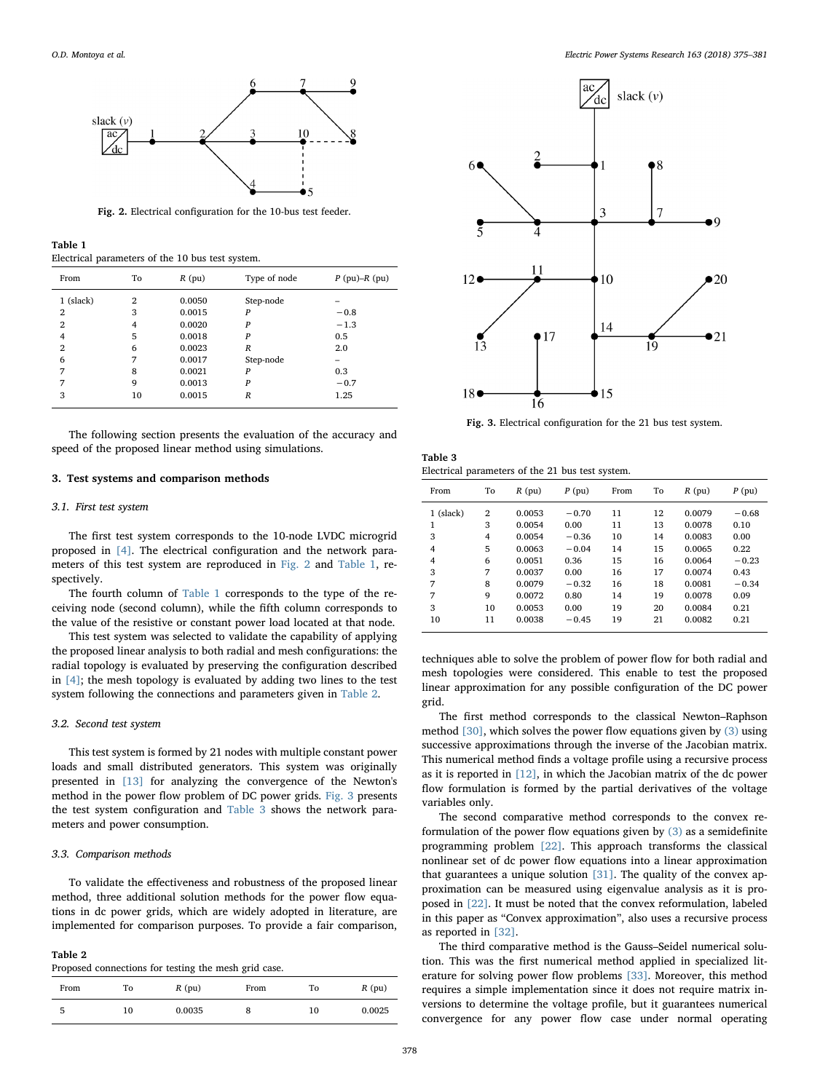<span id="page-3-1"></span>

Fig. 2. Electrical configuration for the 10-bus test feeder.

<span id="page-3-2"></span>

| Table 1 |                                                  |  |  |  |
|---------|--------------------------------------------------|--|--|--|
|         | Electrical parameters of the 10 bus test system. |  |  |  |

| From           | To | $R$ (pu) | Type of node     | $P$ (pu)– $R$ (pu) |
|----------------|----|----------|------------------|--------------------|
| 1 (slack)      | 2  | 0.0050   | Step-node        |                    |
| 2              | 3  | 0.0015   | P                | $-0.8$             |
| $\overline{2}$ | 4  | 0.0020   | P                | $-1.3$             |
| 4              | 5  | 0.0018   | P                | 0.5                |
| $\overline{2}$ | 6  | 0.0023   | $\boldsymbol{R}$ | 2.0                |
| 6              | 7  | 0.0017   | Step-node        | -                  |
| 7              | 8  | 0.0021   | P                | 0.3                |
| 7              | 9  | 0.0013   | P                | $-0.7$             |
| 3              | 10 | 0.0015   | $\boldsymbol{R}$ | 1.25               |

The following section presents the evaluation of the accuracy and speed of the proposed linear method using simulations.

## <span id="page-3-0"></span>3. Test systems and comparison methods

#### 3.1. First test system

The first test system corresponds to the 10-node LVDC microgrid proposed in [\[4\].](#page-6-2) The electrical configuration and the network parameters of this test system are reproduced in [Fig. 2](#page-3-1) and [Table 1](#page-3-2), respectively.

The fourth column of [Table 1](#page-3-2) corresponds to the type of the receiving node (second column), while the fifth column corresponds to the value of the resistive or constant power load located at that node.

This test system was selected to validate the capability of applying the proposed linear analysis to both radial and mesh configurations: the radial topology is evaluated by preserving the configuration described in [\[4\];](#page-6-2) the mesh topology is evaluated by adding two lines to the test system following the connections and parameters given in [Table 2](#page-3-3).

## 3.2. Second test system

This test system is formed by 21 nodes with multiple constant power loads and small distributed generators. This system was originally presented in [\[13\]](#page-6-18) for analyzing the convergence of the Newton's method in the power flow problem of DC power grids. [Fig. 3](#page-3-4) presents the test system configuration and [Table 3](#page-3-5) shows the network parameters and power consumption.

#### 3.3. Comparison methods

To validate the effectiveness and robustness of the proposed linear method, three additional solution methods for the power flow equations in dc power grids, which are widely adopted in literature, are implemented for comparison purposes. To provide a fair comparison,

<span id="page-3-3"></span>

| апі<br>١F |  |
|-----------|--|
|-----------|--|

| Proposed connections for testing the mesh grid case. |  |  |  |  |  |  |  |  |
|------------------------------------------------------|--|--|--|--|--|--|--|--|
|------------------------------------------------------|--|--|--|--|--|--|--|--|

| From | To | $R$ (pu) | From | To | $R$ (pu) |
|------|----|----------|------|----|----------|
| 5    | 10 | 0.0035   | 8    | 10 | 0.0025   |

<span id="page-3-4"></span>

Fig. 3. Electrical configuration for the 21 bus test system.

<span id="page-3-5"></span>Table 3 Electrical parameters of the 21 bus test system.

| From           | To | $R$ (pu) | P(pu)   | From | To | $R$ (pu) | P(pu)   |
|----------------|----|----------|---------|------|----|----------|---------|
| 1 (slack)      | 2  | 0.0053   | $-0.70$ | 11   | 12 | 0.0079   | $-0.68$ |
| 1              | 3  | 0.0054   | 0.00    | 11   | 13 | 0.0078   | 0.10    |
| 3              | 4  | 0.0054   | $-0.36$ | 10   | 14 | 0.0083   | 0.00    |
| $\overline{4}$ | 5  | 0.0063   | $-0.04$ | 14   | 15 | 0.0065   | 0.22    |
| $\overline{4}$ | 6  | 0.0051   | 0.36    | 15   | 16 | 0.0064   | $-0.23$ |
| 3              | 7  | 0.0037   | 0.00    | 16   | 17 | 0.0074   | 0.43    |
| 7              | 8  | 0.0079   | $-0.32$ | 16   | 18 | 0.0081   | $-0.34$ |
| 7              | 9  | 0.0072   | 0.80    | 14   | 19 | 0.0078   | 0.09    |
| 3              | 10 | 0.0053   | 0.00    | 19   | 20 | 0.0084   | 0.21    |
| 10             | 11 | 0.0038   | $-0.45$ | 19   | 21 | 0.0082   | 0.21    |

techniques able to solve the problem of power flow for both radial and mesh topologies were considered. This enable to test the proposed linear approximation for any possible configuration of the DC power grid.

The first method corresponds to the classical Newton–Raphson method [\[30\]](#page-6-19), which solves the power flow equations given by [\(3\)](#page-2-2) using successive approximations through the inverse of the Jacobian matrix. This numerical method finds a voltage profile using a recursive process as it is reported in [\[12\],](#page-6-8) in which the Jacobian matrix of the dc power flow formulation is formed by the partial derivatives of the voltage variables only.

The second comparative method corresponds to the convex reformulation of the power flow equations given by [\(3\)](#page-2-2) as a semidefinite programming problem [\[22\]](#page-6-13). This approach transforms the classical nonlinear set of dc power flow equations into a linear approximation that guarantees a unique solution [\[31\].](#page-6-20) The quality of the convex approximation can be measured using eigenvalue analysis as it is proposed in [\[22\].](#page-6-13) It must be noted that the convex reformulation, labeled in this paper as "Convex approximation", also uses a recursive process as reported in [\[32\].](#page-6-21)

The third comparative method is the Gauss–Seidel numerical solution. This was the first numerical method applied in specialized literature for solving power flow problems [\[33\].](#page-6-22) Moreover, this method requires a simple implementation since it does not require matrix inversions to determine the voltage profile, but it guarantees numerical convergence for any power flow case under normal operating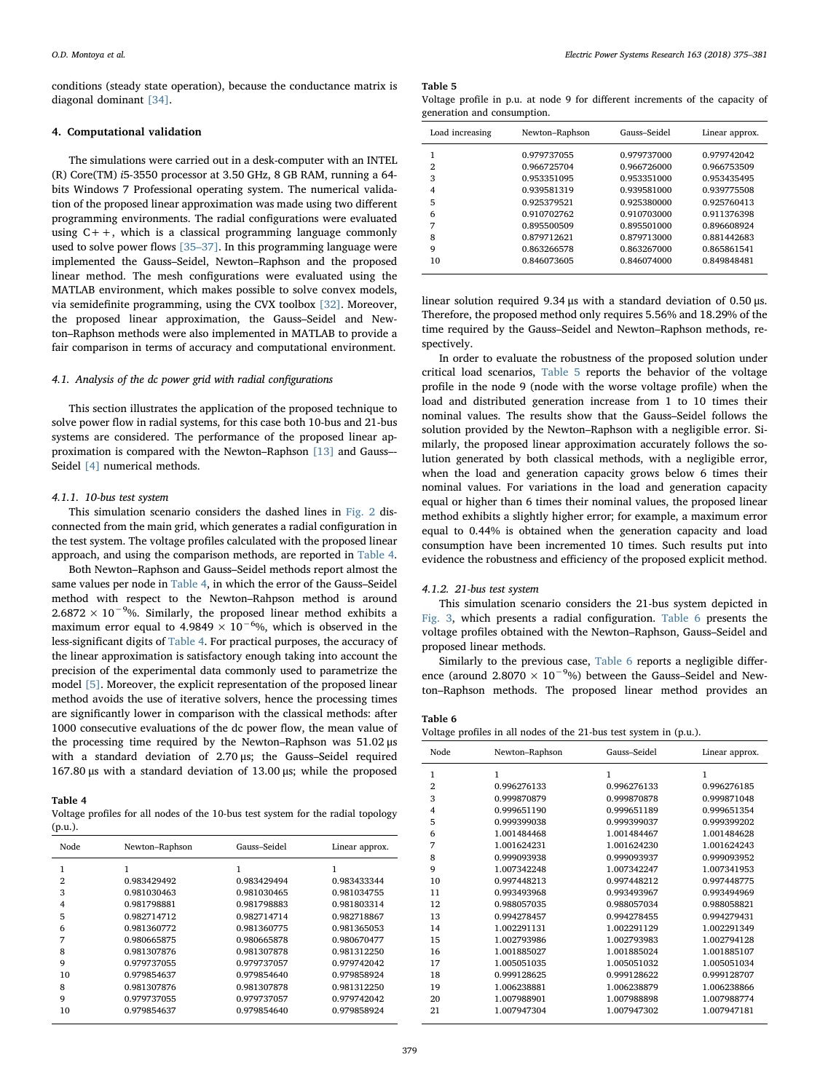conditions (steady state operation), because the conductance matrix is diagonal dominant [\[34\].](#page-6-23)

## <span id="page-4-0"></span>4. Computational validation

The simulations were carried out in a desk-computer with an INTEL (R) Core(TM) i5-3550 processor at 3.50 GHz, 8 GB RAM, running a 64 bits Windows 7 Professional operating system. The numerical validation of the proposed linear approximation was made using two different programming environments. The radial configurations were evaluated using  $C++$ , which is a classical programming language commonly used to solve power flows [35–[37\].](#page-6-24) In this programming language were implemented the Gauss–Seidel, Newton–Raphson and the proposed linear method. The mesh configurations were evaluated using the MATLAB environment, which makes possible to solve convex models, via semidefinite programming, using the CVX toolbox [\[32\].](#page-6-21) Moreover, the proposed linear approximation, the Gauss–Seidel and Newton–Raphson methods were also implemented in MATLAB to provide a fair comparison in terms of accuracy and computational environment.

## 4.1. Analysis of the dc power grid with radial configurations

This section illustrates the application of the proposed technique to solve power flow in radial systems, for this case both 10-bus and 21-bus systems are considered. The performance of the proposed linear approximation is compared with the Newton–Raphson [\[13\]](#page-6-18) and Gauss–- Seidel [\[4\]](#page-6-2) numerical methods.

## 4.1.1. 10-bus test system

This simulation scenario considers the dashed lines in [Fig. 2](#page-3-1) disconnected from the main grid, which generates a radial configuration in the test system. The voltage profiles calculated with the proposed linear approach, and using the comparison methods, are reported in [Table 4](#page-4-1).

Both Newton–Raphson and Gauss–Seidel methods report almost the same values per node in [Table 4](#page-4-1), in which the error of the Gauss–Seidel method with respect to the Newton–Rahpson method is around  $2.6872 \times 10^{-9}$ %. Similarly, the proposed linear method exhibits a maximum error equal to 4.9849  $\times$  10<sup>-6</sup>%, which is observed in the less-significant digits of [Table 4](#page-4-1). For practical purposes, the accuracy of the linear approximation is satisfactory enough taking into account the precision of the experimental data commonly used to parametrize the model [\[5\]](#page-6-3). Moreover, the explicit representation of the proposed linear method avoids the use of iterative solvers, hence the processing times are significantly lower in comparison with the classical methods: after 1000 consecutive evaluations of the dc power flow, the mean value of the processing time required by the Newton–Raphson was 51.02 μs with a standard deviation of 2.70 μs; the Gauss–Seidel required 167.80 μs with a standard deviation of 13.00 μs; while the proposed

## <span id="page-4-1"></span>Table 4

Voltage profiles for all nodes of the 10-bus test system for the radial topology (p.u.).

| Node | Newton-Raphson | Gauss-Seidel | Linear approx. |
|------|----------------|--------------|----------------|
|      |                |              | 1              |
| 2    | 0.983429492    | 0.983429494  | 0.983433344    |
| 3    | 0.981030463    | 0.981030465  | 0.981034755    |
| 4    | 0.981798881    | 0.981798883  | 0.981803314    |
| 5    | 0.982714712    | 0.982714714  | 0.982718867    |
| 6    | 0.981360772    | 0.981360775  | 0.981365053    |
| 7    | 0.980665875    | 0.980665878  | 0.980670477    |
| 8    | 0.981307876    | 0.981307878  | 0.981312250    |
| 9    | 0.979737055    | 0.979737057  | 0.979742042    |
| 10   | 0.979854637    | 0.979854640  | 0.979858924    |
| 8    | 0.981307876    | 0.981307878  | 0.981312250    |
| 9    | 0.979737055    | 0.979737057  | 0.979742042    |
| 10   | 0.979854637    | 0.979854640  | 0.979858924    |

<span id="page-4-2"></span>Table 5

|                             |  |  |  |  | Voltage profile in p.u. at node 9 for different increments of the capacity of |  |  |
|-----------------------------|--|--|--|--|-------------------------------------------------------------------------------|--|--|
| generation and consumption. |  |  |  |  |                                                                               |  |  |

| Load increasing | Newton-Raphson | Gauss-Seidel | Linear approx. |
|-----------------|----------------|--------------|----------------|
|                 | 0.979737055    | 0.979737000  | 0.979742042    |
| 2               | 0.966725704    | 0.966726000  | 0.966753509    |
| 3               | 0.953351095    | 0.953351000  | 0.953435495    |
| 4               | 0.939581319    | 0.939581000  | 0.939775508    |
| 5               | 0.925379521    | 0.925380000  | 0.925760413    |
| 6               | 0.910702762    | 0.910703000  | 0.911376398    |
| 7               | 0.895500509    | 0.895501000  | 0.896608924    |
| 8               | 0.879712621    | 0.879713000  | 0.881442683    |
| 9               | 0.863266578    | 0.863267000  | 0.865861541    |
| 10              | 0.846073605    | 0.846074000  | 0.849848481    |

linear solution required 9.34 μs with a standard deviation of 0.50 μs. Therefore, the proposed method only requires 5.56% and 18.29% of the time required by the Gauss–Seidel and Newton–Raphson methods, respectively.

In order to evaluate the robustness of the proposed solution under critical load scenarios, [Table 5](#page-4-2) reports the behavior of the voltage profile in the node 9 (node with the worse voltage profile) when the load and distributed generation increase from 1 to 10 times their nominal values. The results show that the Gauss–Seidel follows the solution provided by the Newton–Raphson with a negligible error. Similarly, the proposed linear approximation accurately follows the solution generated by both classical methods, with a negligible error, when the load and generation capacity grows below 6 times their nominal values. For variations in the load and generation capacity equal or higher than 6 times their nominal values, the proposed linear method exhibits a slightly higher error; for example, a maximum error equal to 0.44% is obtained when the generation capacity and load consumption have been incremented 10 times. Such results put into evidence the robustness and efficiency of the proposed explicit method.

## 4.1.2. 21-bus test system

This simulation scenario considers the 21-bus system depicted in [Fig. 3](#page-3-4), which presents a radial configuration. [Table 6](#page-4-3) presents the voltage profiles obtained with the Newton–Raphson, Gauss–Seidel and proposed linear methods.

Similarly to the previous case, [Table 6](#page-4-3) reports a negligible difference (around 2.8070  $\times$  10<sup>-9</sup>%) between the Gauss–Seidel and Newton–Raphson methods. The proposed linear method provides an

# <span id="page-4-3"></span>Table 6

| Voltage profiles in all nodes of the 21-bus test system in (p.u.). |  |  |
|--------------------------------------------------------------------|--|--|
|--------------------------------------------------------------------|--|--|

| Node           | Newton-Raphson | Gauss-Seidel | Linear approx. |
|----------------|----------------|--------------|----------------|
| 1              | 1              | 1            | 1              |
| $\overline{2}$ | 0.996276133    | 0.996276133  | 0.996276185    |
| 3              | 0.999870879    | 0.999870878  | 0.999871048    |
| $\overline{4}$ | 0.999651190    | 0.999651189  | 0.999651354    |
| 5              | 0.999399038    | 0.999399037  | 0.999399202    |
| 6              | 1.001484468    | 1.001484467  | 1.001484628    |
| 7              | 1.001624231    | 1.001624230  | 1.001624243    |
| 8              | 0.999093938    | 0.999093937  | 0.999093952    |
| 9              | 1.007342248    | 1.007342247  | 1.007341953    |
| 10             | 0.997448213    | 0.997448212  | 0.997448775    |
| 11             | 0.993493968    | 0.993493967  | 0.993494969    |
| 12             | 0.988057035    | 0.988057034  | 0.988058821    |
| 13             | 0.994278457    | 0.994278455  | 0.994279431    |
| 14             | 1.002291131    | 1.002291129  | 1.002291349    |
| 15             | 1.002793986    | 1.002793983  | 1.002794128    |
| 16             | 1.001885027    | 1.001885024  | 1.001885107    |
| 17             | 1.005051035    | 1.005051032  | 1.005051034    |
| 18             | 0.999128625    | 0.999128622  | 0.999128707    |
| 19             | 1.006238881    | 1.006238879  | 1.006238866    |
| 20             | 1.007988901    | 1.007988898  | 1.007988774    |
| 21             | 1.007947304    | 1.007947302  | 1.007947181    |
|                |                |              |                |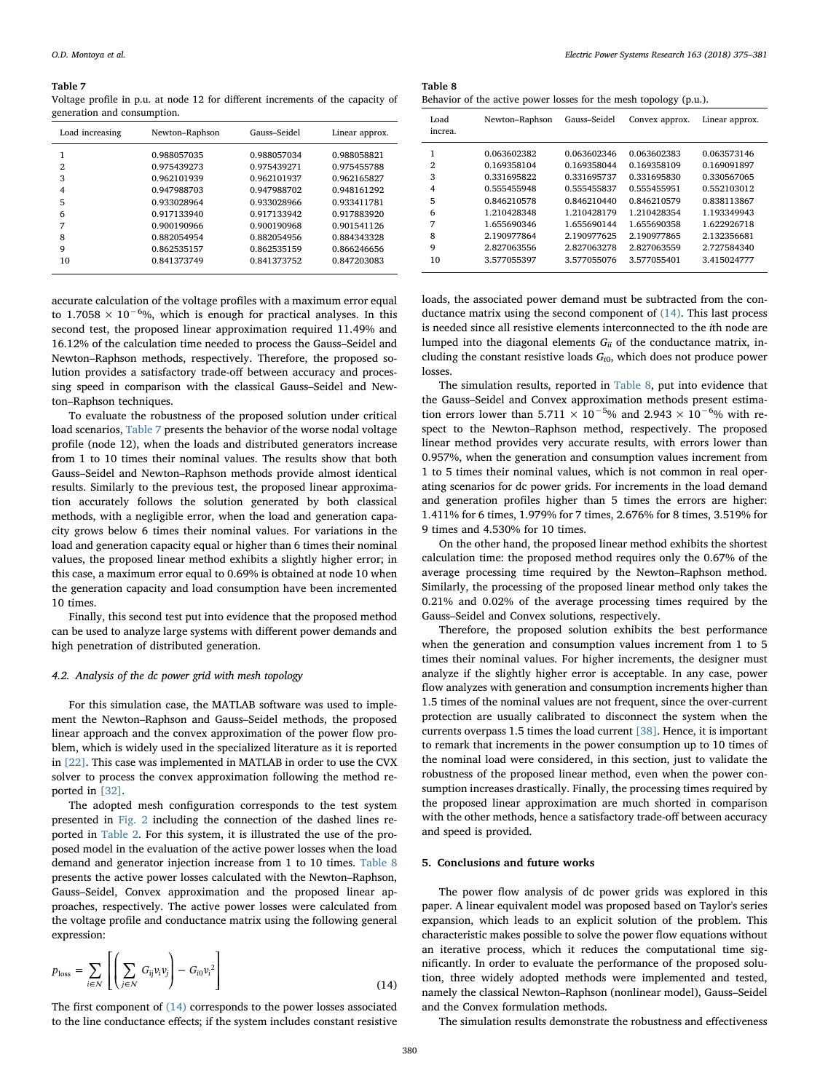#### <span id="page-5-1"></span>Table 7

Voltage profile in p.u. at node 12 for different increments of the capacity of generation and consumption.

| Load increasing | Newton-Raphson | Gauss-Seidel | Linear approx. |
|-----------------|----------------|--------------|----------------|
| 1               | 0.988057035    | 0.988057034  | 0.988058821    |
| $\overline{2}$  | 0.975439273    | 0.975439271  | 0.975455788    |
| 3               | 0.962101939    | 0.962101937  | 0.962165827    |
| 4               | 0.947988703    | 0.947988702  | 0.948161292    |
| 5               | 0.933028964    | 0.933028966  | 0.933411781    |
| 6               | 0.917133940    | 0.917133942  | 0.917883920    |
| 7               | 0.900190966    | 0.900190968  | 0.901541126    |
| 8               | 0.882054954    | 0.882054956  | 0.884343328    |
| 9               | 0.862535157    | 0.862535159  | 0.866246656    |
| 10              | 0.841373749    | 0.841373752  | 0.847203083    |

accurate calculation of the voltage profiles with a maximum error equal to  $1.7058 \times 10^{-6}$ %, which is enough for practical analyses. In this second test, the proposed linear approximation required 11.49% and 16.12% of the calculation time needed to process the Gauss–Seidel and Newton–Raphson methods, respectively. Therefore, the proposed solution provides a satisfactory trade-off between accuracy and processing speed in comparison with the classical Gauss–Seidel and Newton–Raphson techniques.

To evaluate the robustness of the proposed solution under critical load scenarios, [Table 7](#page-5-1) presents the behavior of the worse nodal voltage profile (node 12), when the loads and distributed generators increase from 1 to 10 times their nominal values. The results show that both Gauss–Seidel and Newton–Raphson methods provide almost identical results. Similarly to the previous test, the proposed linear approximation accurately follows the solution generated by both classical methods, with a negligible error, when the load and generation capacity grows below 6 times their nominal values. For variations in the load and generation capacity equal or higher than 6 times their nominal values, the proposed linear method exhibits a slightly higher error; in this case, a maximum error equal to 0.69% is obtained at node 10 when the generation capacity and load consumption have been incremented 10 times.

Finally, this second test put into evidence that the proposed method can be used to analyze large systems with different power demands and high penetration of distributed generation.

#### 4.2. Analysis of the dc power grid with mesh topology

For this simulation case, the MATLAB software was used to implement the Newton–Raphson and Gauss–Seidel methods, the proposed linear approach and the convex approximation of the power flow problem, which is widely used in the specialized literature as it is reported in [\[22\]](#page-6-13). This case was implemented in MATLAB in order to use the CVX solver to process the convex approximation following the method reported in [\[32\].](#page-6-21)

The adopted mesh configuration corresponds to the test system presented in [Fig. 2](#page-3-1) including the connection of the dashed lines reported in [Table 2.](#page-3-3) For this system, it is illustrated the use of the proposed model in the evaluation of the active power losses when the load demand and generator injection increase from 1 to 10 times. [Table 8](#page-5-2) presents the active power losses calculated with the Newton–Raphson, Gauss–Seidel, Convex approximation and the proposed linear approaches, respectively. The active power losses were calculated from the voltage profile and conductance matrix using the following general expression:

<span id="page-5-3"></span>
$$
p_{\text{loss}} = \sum_{i \in \mathcal{N}} \left[ \left( \sum_{j \in \mathcal{N}} G_{ij} v_i v_j \right) - G_{i0} v_i^2 \right]
$$
(14)

The first component of  $(14)$  corresponds to the power losses associated to the line conductance effects; if the system includes constant resistive

<span id="page-5-2"></span>Table 8 Behavior of the active power losses for the mesh topology (p.u.).

| Load<br>increa. | Newton-Raphson | Gauss-Seidel | Convex approx. | Linear approx. |
|-----------------|----------------|--------------|----------------|----------------|
| 1               | 0.063602382    | 0.063602346  | 0.063602383    | 0.063573146    |
| 2               | 0.169358104    | 0.169358044  | 0.169358109    | 0.169091897    |
| 3               | 0.331695822    | 0.331695737  | 0.331695830    | 0.330567065    |
| 4               | 0.555455948    | 0.555455837  | 0.555455951    | 0.552103012    |
| 5               | 0.846210578    | 0.846210440  | 0.846210579    | 0.838113867    |
| 6               | 1.210428348    | 1.210428179  | 1.210428354    | 1.193349943    |
| 7               | 1.655690346    | 1.655690144  | 1.655690358    | 1.622926718    |
| 8               | 2.190977864    | 2.190977625  | 2.190977865    | 2.132356681    |
| 9               | 2.827063556    | 2.827063278  | 2.827063559    | 2.727584340    |
| 10              | 3.577055397    | 3.577055076  | 3.577055401    | 3.415024777    |

loads, the associated power demand must be subtracted from the conductance matrix using the second component of  $(14)$ . This last process is needed since all resistive elements interconnected to the ith node are lumped into the diagonal elements  $G_{ii}$  of the conductance matrix, including the constant resistive loads  $G_{i0}$ , which does not produce power losses.

The simulation results, reported in [Table 8](#page-5-2), put into evidence that the Gauss–Seidel and Convex approximation methods present estimation errors lower than  $5.711 \times 10^{-5}$ % and  $2.943 \times 10^{-6}$ % with respect to the Newton–Raphson method, respectively. The proposed linear method provides very accurate results, with errors lower than 0.957%, when the generation and consumption values increment from 1 to 5 times their nominal values, which is not common in real operating scenarios for dc power grids. For increments in the load demand and generation profiles higher than 5 times the errors are higher: 1.411% for 6 times, 1.979% for 7 times, 2.676% for 8 times, 3.519% for 9 times and 4.530% for 10 times.

On the other hand, the proposed linear method exhibits the shortest calculation time: the proposed method requires only the 0.67% of the average processing time required by the Newton–Raphson method. Similarly, the processing of the proposed linear method only takes the 0.21% and 0.02% of the average processing times required by the Gauss–Seidel and Convex solutions, respectively.

Therefore, the proposed solution exhibits the best performance when the generation and consumption values increment from 1 to 5 times their nominal values. For higher increments, the designer must analyze if the slightly higher error is acceptable. In any case, power flow analyzes with generation and consumption increments higher than 1.5 times of the nominal values are not frequent, since the over-current protection are usually calibrated to disconnect the system when the currents overpass 1.5 times the load current [\[38\].](#page-6-25) Hence, it is important to remark that increments in the power consumption up to 10 times of the nominal load were considered, in this section, just to validate the robustness of the proposed linear method, even when the power consumption increases drastically. Finally, the processing times required by the proposed linear approximation are much shorted in comparison with the other methods, hence a satisfactory trade-off between accuracy and speed is provided.

## <span id="page-5-0"></span>5. Conclusions and future works

The power flow analysis of dc power grids was explored in this paper. A linear equivalent model was proposed based on Taylor's series expansion, which leads to an explicit solution of the problem. This characteristic makes possible to solve the power flow equations without an iterative process, which it reduces the computational time significantly. In order to evaluate the performance of the proposed solution, three widely adopted methods were implemented and tested, namely the classical Newton–Raphson (nonlinear model), Gauss–Seidel and the Convex formulation methods.

The simulation results demonstrate the robustness and effectiveness